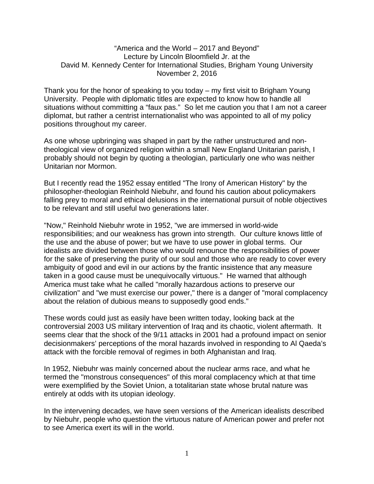## "America and the World – 2017 and Beyond" Lecture by Lincoln Bloomfield Jr. at the David M. Kennedy Center for International Studies, Brigham Young University November 2, 2016

Thank you for the honor of speaking to you today – my first visit to Brigham Young University. People with diplomatic titles are expected to know how to handle all situations without committing a "faux pas." So let me caution you that I am not a career diplomat, but rather a centrist internationalist who was appointed to all of my policy positions throughout my career.

As one whose upbringing was shaped in part by the rather unstructured and nontheological view of organized religion within a small New England Unitarian parish, I probably should not begin by quoting a theologian, particularly one who was neither Unitarian nor Mormon.

But I recently read the 1952 essay entitled "The Irony of American History" by the philosopher-theologian Reinhold Niebuhr, and found his caution about policymakers falling prey to moral and ethical delusions in the international pursuit of noble objectives to be relevant and still useful two generations later.

"Now," Reinhold Niebuhr wrote in 1952, "we are immersed in world-wide responsibilities; and our weakness has grown into strength. Our culture knows little of the use and the abuse of power; but we have to use power in global terms. Our idealists are divided between those who would renounce the responsibilities of power for the sake of preserving the purity of our soul and those who are ready to cover every ambiguity of good and evil in our actions by the frantic insistence that any measure taken in a good cause must be unequivocally virtuous." He warned that although America must take what he called "morally hazardous actions to preserve our civilization" and "we must exercise our power," there is a danger of "moral complacency about the relation of dubious means to supposedly good ends."

These words could just as easily have been written today, looking back at the controversial 2003 US military intervention of Iraq and its chaotic, violent aftermath. It seems clear that the shock of the 9/11 attacks in 2001 had a profound impact on senior decisionmakers' perceptions of the moral hazards involved in responding to Al Qaeda's attack with the forcible removal of regimes in both Afghanistan and Iraq.

In 1952, Niebuhr was mainly concerned about the nuclear arms race, and what he termed the "monstrous consequences" of this moral complacency which at that time were exemplified by the Soviet Union, a totalitarian state whose brutal nature was entirely at odds with its utopian ideology.

In the intervening decades, we have seen versions of the American idealists described by Niebuhr, people who question the virtuous nature of American power and prefer not to see America exert its will in the world.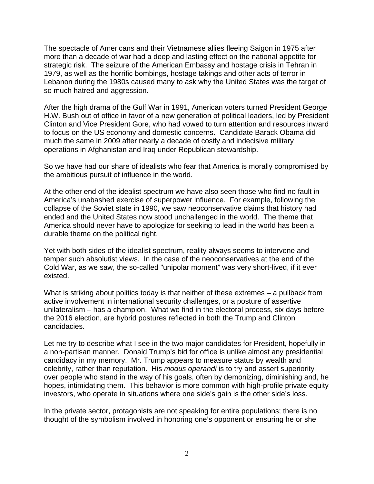The spectacle of Americans and their Vietnamese allies fleeing Saigon in 1975 after more than a decade of war had a deep and lasting effect on the national appetite for strategic risk. The seizure of the American Embassy and hostage crisis in Tehran in 1979, as well as the horrific bombings, hostage takings and other acts of terror in Lebanon during the 1980s caused many to ask why the United States was the target of so much hatred and aggression.

After the high drama of the Gulf War in 1991, American voters turned President George H.W. Bush out of office in favor of a new generation of political leaders, led by President Clinton and Vice President Gore, who had vowed to turn attention and resources inward to focus on the US economy and domestic concerns. Candidate Barack Obama did much the same in 2009 after nearly a decade of costly and indecisive military operations in Afghanistan and Iraq under Republican stewardship.

So we have had our share of idealists who fear that America is morally compromised by the ambitious pursuit of influence in the world.

At the other end of the idealist spectrum we have also seen those who find no fault in America's unabashed exercise of superpower influence. For example, following the collapse of the Soviet state in 1990, we saw neoconservative claims that history had ended and the United States now stood unchallenged in the world. The theme that America should never have to apologize for seeking to lead in the world has been a durable theme on the political right.

Yet with both sides of the idealist spectrum, reality always seems to intervene and temper such absolutist views. In the case of the neoconservatives at the end of the Cold War, as we saw, the so-called "unipolar moment" was very short-lived, if it ever existed.

What is striking about politics today is that neither of these extremes – a pullback from active involvement in international security challenges, or a posture of assertive unilateralism – has a champion. What we find in the electoral process, six days before the 2016 election, are hybrid postures reflected in both the Trump and Clinton candidacies.

Let me try to describe what I see in the two major candidates for President, hopefully in a non-partisan manner. Donald Trump's bid for office is unlike almost any presidential candidacy in my memory. Mr. Trump appears to measure status by wealth and celebrity, rather than reputation. His *modus operandi* is to try and assert superiority over people who stand in the way of his goals, often by demonizing, diminishing and, he hopes, intimidating them. This behavior is more common with high-profile private equity investors, who operate in situations where one side's gain is the other side's loss.

In the private sector, protagonists are not speaking for entire populations; there is no thought of the symbolism involved in honoring one's opponent or ensuring he or she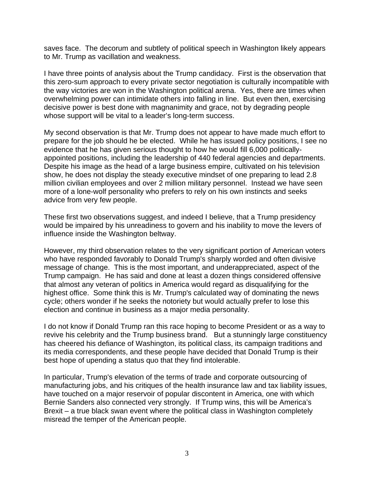saves face. The decorum and subtlety of political speech in Washington likely appears to Mr. Trump as vacillation and weakness.

I have three points of analysis about the Trump candidacy. First is the observation that this zero-sum approach to every private sector negotiation is culturally incompatible with the way victories are won in the Washington political arena. Yes, there are times when overwhelming power can intimidate others into falling in line. But even then, exercising decisive power is best done with magnanimity and grace, not by degrading people whose support will be vital to a leader's long-term success.

My second observation is that Mr. Trump does not appear to have made much effort to prepare for the job should he be elected. While he has issued policy positions, I see no evidence that he has given serious thought to how he would fill 6,000 politicallyappointed positions, including the leadership of 440 federal agencies and departments. Despite his image as the head of a large business empire, cultivated on his television show, he does not display the steady executive mindset of one preparing to lead 2.8 million civilian employees and over 2 million military personnel. Instead we have seen more of a lone-wolf personality who prefers to rely on his own instincts and seeks advice from very few people.

These first two observations suggest, and indeed I believe, that a Trump presidency would be impaired by his unreadiness to govern and his inability to move the levers of influence inside the Washington beltway.

However, my third observation relates to the very significant portion of American voters who have responded favorably to Donald Trump's sharply worded and often divisive message of change. This is the most important, and underappreciated, aspect of the Trump campaign. He has said and done at least a dozen things considered offensive that almost any veteran of politics in America would regard as disqualifying for the highest office. Some think this is Mr. Trump's calculated way of dominating the news cycle; others wonder if he seeks the notoriety but would actually prefer to lose this election and continue in business as a major media personality.

I do not know if Donald Trump ran this race hoping to become President or as a way to revive his celebrity and the Trump business brand. But a stunningly large constituency has cheered his defiance of Washington, its political class, its campaign traditions and its media correspondents, and these people have decided that Donald Trump is their best hope of upending a status quo that they find intolerable.

In particular, Trump's elevation of the terms of trade and corporate outsourcing of manufacturing jobs, and his critiques of the health insurance law and tax liability issues, have touched on a major reservoir of popular discontent in America, one with which Bernie Sanders also connected very strongly. If Trump wins, this will be America's Brexit – a true black swan event where the political class in Washington completely misread the temper of the American people.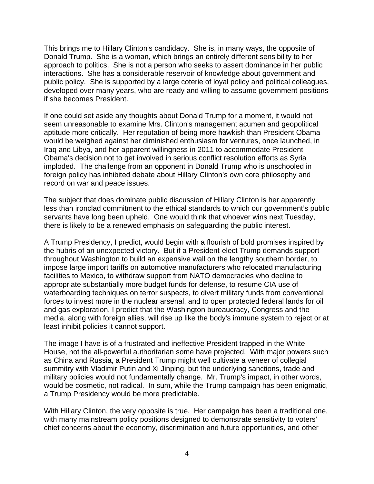This brings me to Hillary Clinton's candidacy. She is, in many ways, the opposite of Donald Trump. She is a woman, which brings an entirely different sensibility to her approach to politics. She is not a person who seeks to assert dominance in her public interactions. She has a considerable reservoir of knowledge about government and public policy. She is supported by a large coterie of loyal policy and political colleagues, developed over many years, who are ready and willing to assume government positions if she becomes President.

If one could set aside any thoughts about Donald Trump for a moment, it would not seem unreasonable to examine Mrs. Clinton's management acumen and geopolitical aptitude more critically. Her reputation of being more hawkish than President Obama would be weighed against her diminished enthusiasm for ventures, once launched, in Iraq and Libya, and her apparent willingness in 2011 to accommodate President Obama's decision not to get involved in serious conflict resolution efforts as Syria imploded. The challenge from an opponent in Donald Trump who is unschooled in foreign policy has inhibited debate about Hillary Clinton's own core philosophy and record on war and peace issues.

The subject that does dominate public discussion of Hillary Clinton is her apparently less than ironclad commitment to the ethical standards to which our government's public servants have long been upheld. One would think that whoever wins next Tuesday, there is likely to be a renewed emphasis on safeguarding the public interest.

A Trump Presidency, I predict, would begin with a flourish of bold promises inspired by the hubris of an unexpected victory. But if a President-elect Trump demands support throughout Washington to build an expensive wall on the lengthy southern border, to impose large import tariffs on automotive manufacturers who relocated manufacturing facilities to Mexico, to withdraw support from NATO democracies who decline to appropriate substantially more budget funds for defense, to resume CIA use of waterboarding techniques on terror suspects, to divert military funds from conventional forces to invest more in the nuclear arsenal, and to open protected federal lands for oil and gas exploration, I predict that the Washington bureaucracy, Congress and the media, along with foreign allies, will rise up like the body's immune system to reject or at least inhibit policies it cannot support.

The image I have is of a frustrated and ineffective President trapped in the White House, not the all-powerful authoritarian some have projected. With major powers such as China and Russia, a President Trump might well cultivate a veneer of collegial summitry with Vladimir Putin and Xi Jinping, but the underlying sanctions, trade and military policies would not fundamentally change. Mr. Trump's impact, in other words, would be cosmetic, not radical. In sum, while the Trump campaign has been enigmatic, a Trump Presidency would be more predictable.

With Hillary Clinton, the very opposite is true. Her campaign has been a traditional one, with many mainstream policy positions designed to demonstrate sensitivity to voters' chief concerns about the economy, discrimination and future opportunities, and other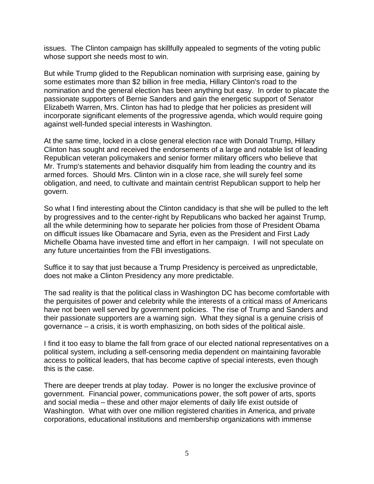issues. The Clinton campaign has skillfully appealed to segments of the voting public whose support she needs most to win.

But while Trump glided to the Republican nomination with surprising ease, gaining by some estimates more than \$2 billion in free media, Hillary Clinton's road to the nomination and the general election has been anything but easy. In order to placate the passionate supporters of Bernie Sanders and gain the energetic support of Senator Elizabeth Warren, Mrs. Clinton has had to pledge that her policies as president will incorporate significant elements of the progressive agenda, which would require going against well-funded special interests in Washington.

At the same time, locked in a close general election race with Donald Trump, Hillary Clinton has sought and received the endorsements of a large and notable list of leading Republican veteran policymakers and senior former military officers who believe that Mr. Trump's statements and behavior disqualify him from leading the country and its armed forces. Should Mrs. Clinton win in a close race, she will surely feel some obligation, and need, to cultivate and maintain centrist Republican support to help her govern.

So what I find interesting about the Clinton candidacy is that she will be pulled to the left by progressives and to the center-right by Republicans who backed her against Trump, all the while determining how to separate her policies from those of President Obama on difficult issues like Obamacare and Syria, even as the President and First Lady Michelle Obama have invested time and effort in her campaign. I will not speculate on any future uncertainties from the FBI investigations.

Suffice it to say that just because a Trump Presidency is perceived as unpredictable, does not make a Clinton Presidency any more predictable.

The sad reality is that the political class in Washington DC has become comfortable with the perquisites of power and celebrity while the interests of a critical mass of Americans have not been well served by government policies. The rise of Trump and Sanders and their passionate supporters are a warning sign. What they signal is a genuine crisis of governance – a crisis, it is worth emphasizing, on both sides of the political aisle.

I find it too easy to blame the fall from grace of our elected national representatives on a political system, including a self-censoring media dependent on maintaining favorable access to political leaders, that has become captive of special interests, even though this is the case.

There are deeper trends at play today. Power is no longer the exclusive province of government. Financial power, communications power, the soft power of arts, sports and social media – these and other major elements of daily life exist outside of Washington. What with over one million registered charities in America, and private corporations, educational institutions and membership organizations with immense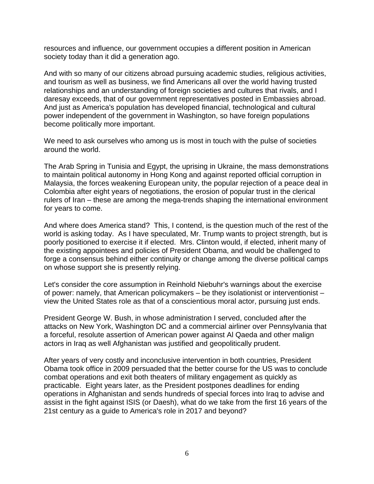resources and influence, our government occupies a different position in American society today than it did a generation ago.

And with so many of our citizens abroad pursuing academic studies, religious activities, and tourism as well as business, we find Americans all over the world having trusted relationships and an understanding of foreign societies and cultures that rivals, and I daresay exceeds, that of our government representatives posted in Embassies abroad. And just as America's population has developed financial, technological and cultural power independent of the government in Washington, so have foreign populations become politically more important.

We need to ask ourselves who among us is most in touch with the pulse of societies around the world.

The Arab Spring in Tunisia and Egypt, the uprising in Ukraine, the mass demonstrations to maintain political autonomy in Hong Kong and against reported official corruption in Malaysia, the forces weakening European unity, the popular rejection of a peace deal in Colombia after eight years of negotiations, the erosion of popular trust in the clerical rulers of Iran – these are among the mega-trends shaping the international environment for years to come.

And where does America stand? This, I contend, is the question much of the rest of the world is asking today. As I have speculated, Mr. Trump wants to project strength, but is poorly positioned to exercise it if elected. Mrs. Clinton would, if elected, inherit many of the existing appointees and policies of President Obama, and would be challenged to forge a consensus behind either continuity or change among the diverse political camps on whose support she is presently relying.

Let's consider the core assumption in Reinhold Niebuhr's warnings about the exercise of power: namely, that American policymakers – be they isolationist or interventionist – view the United States role as that of a conscientious moral actor, pursuing just ends.

President George W. Bush, in whose administration I served, concluded after the attacks on New York, Washington DC and a commercial airliner over Pennsylvania that a forceful, resolute assertion of American power against Al Qaeda and other malign actors in Iraq as well Afghanistan was justified and geopolitically prudent.

After years of very costly and inconclusive intervention in both countries, President Obama took office in 2009 persuaded that the better course for the US was to conclude combat operations and exit both theaters of military engagement as quickly as practicable. Eight years later, as the President postpones deadlines for ending operations in Afghanistan and sends hundreds of special forces into Iraq to advise and assist in the fight against ISIS (or Daesh), what do we take from the first 16 years of the 21st century as a guide to America's role in 2017 and beyond?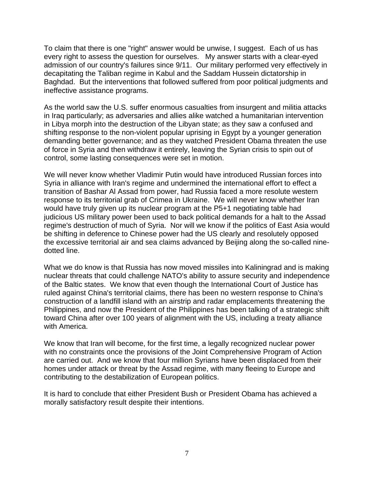To claim that there is one "right" answer would be unwise, I suggest. Each of us has every right to assess the question for ourselves. My answer starts with a clear-eyed admission of our country's failures since 9/11. Our military performed very effectively in decapitating the Taliban regime in Kabul and the Saddam Hussein dictatorship in Baghdad. But the interventions that followed suffered from poor political judgments and ineffective assistance programs.

As the world saw the U.S. suffer enormous casualties from insurgent and militia attacks in Iraq particularly; as adversaries and allies alike watched a humanitarian intervention in Libya morph into the destruction of the Libyan state; as they saw a confused and shifting response to the non-violent popular uprising in Egypt by a younger generation demanding better governance; and as they watched President Obama threaten the use of force in Syria and then withdraw it entirely, leaving the Syrian crisis to spin out of control, some lasting consequences were set in motion.

We will never know whether Vladimir Putin would have introduced Russian forces into Syria in alliance with Iran's regime and undermined the international effort to effect a transition of Bashar Al Assad from power, had Russia faced a more resolute western response to its territorial grab of Crimea in Ukraine. We will never know whether Iran would have truly given up its nuclear program at the P5+1 negotiating table had judicious US military power been used to back political demands for a halt to the Assad regime's destruction of much of Syria. Nor will we know if the politics of East Asia would be shifting in deference to Chinese power had the US clearly and resolutely opposed the excessive territorial air and sea claims advanced by Beijing along the so-called ninedotted line.

What we do know is that Russia has now moved missiles into Kaliningrad and is making nuclear threats that could challenge NATO's ability to assure security and independence of the Baltic states. We know that even though the International Court of Justice has ruled against China's territorial claims, there has been no western response to China's construction of a landfill island with an airstrip and radar emplacements threatening the Philippines, and now the President of the Philippines has been talking of a strategic shift toward China after over 100 years of alignment with the US, including a treaty alliance with America.

We know that Iran will become, for the first time, a legally recognized nuclear power with no constraints once the provisions of the Joint Comprehensive Program of Action are carried out. And we know that four million Syrians have been displaced from their homes under attack or threat by the Assad regime, with many fleeing to Europe and contributing to the destabilization of European politics.

It is hard to conclude that either President Bush or President Obama has achieved a morally satisfactory result despite their intentions.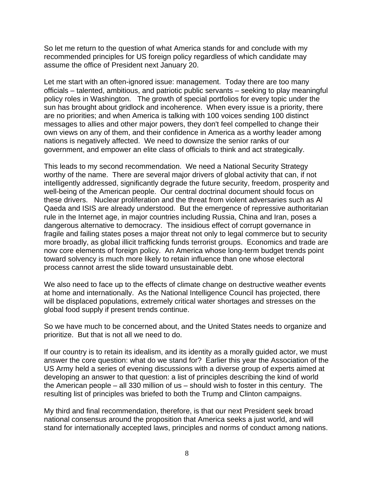So let me return to the question of what America stands for and conclude with my recommended principles for US foreign policy regardless of which candidate may assume the office of President next January 20.

Let me start with an often-ignored issue: management. Today there are too many officials – talented, ambitious, and patriotic public servants – seeking to play meaningful policy roles in Washington. The growth of special portfolios for every topic under the sun has brought about gridlock and incoherence. When every issue is a priority, there are no priorities; and when America is talking with 100 voices sending 100 distinct messages to allies and other major powers, they don't feel compelled to change their own views on any of them, and their confidence in America as a worthy leader among nations is negatively affected. We need to downsize the senior ranks of our government, and empower an elite class of officials to think and act strategically.

This leads to my second recommendation. We need a National Security Strategy worthy of the name. There are several major drivers of global activity that can, if not intelligently addressed, significantly degrade the future security, freedom, prosperity and well-being of the American people. Our central doctrinal document should focus on these drivers. Nuclear proliferation and the threat from violent adversaries such as Al Qaeda and ISIS are already understood. But the emergence of repressive authoritarian rule in the Internet age, in major countries including Russia, China and Iran, poses a dangerous alternative to democracy. The insidious effect of corrupt governance in fragile and failing states poses a major threat not only to legal commerce but to security more broadly, as global illicit trafficking funds terrorist groups. Economics and trade are now core elements of foreign policy. An America whose long-term budget trends point toward solvency is much more likely to retain influence than one whose electoral process cannot arrest the slide toward unsustainable debt.

We also need to face up to the effects of climate change on destructive weather events at home and internationally. As the National Intelligence Council has projected, there will be displaced populations, extremely critical water shortages and stresses on the global food supply if present trends continue.

So we have much to be concerned about, and the United States needs to organize and prioritize. But that is not all we need to do.

If our country is to retain its idealism, and its identity as a morally guided actor, we must answer the core question: what do we stand for? Earlier this year the Association of the US Army held a series of evening discussions with a diverse group of experts aimed at developing an answer to that question: a list of principles describing the kind of world the American people – all 330 million of us – should wish to foster in this century. The resulting list of principles was briefed to both the Trump and Clinton campaigns.

My third and final recommendation, therefore, is that our next President seek broad national consensus around the proposition that America seeks a just world, and will stand for internationally accepted laws, principles and norms of conduct among nations.